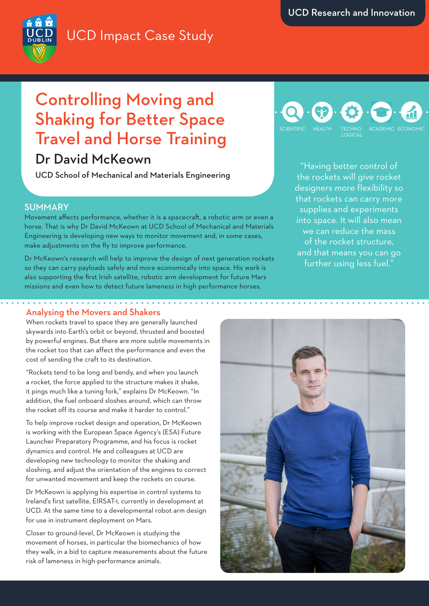# UCD Impact Case Study

# Controlling Moving and Shaking for Better Space Travel and Horse Training

## Dr David McKeown

UCD School of Mechanical and Materials Engineering

#### SUMMARY

Movement affects performance, whether it is a spacecraft, a robotic arm or even a horse. That is why Dr David McKeown at UCD School of Mechanical and Materials Engineering is developing new ways to monitor movement and, in some cases, make adjustments on the fly to improve performance.

Dr McKeown's research will help to improve the design of next generation rockets so they can carry payloads safely and more economically into space. His work is also supporting the first Irish satellite, robotic arm development for future Mars missions and even how to detect future lameness in high performance horses.

### TECHNO-LOGICAL SCIENTIFIC HEALTH TECHNO- ACADEMIC ECONOMIC

"Having better control of the rockets will give rocket designers more flexibility so that rockets can carry more supplies and experiments into space. It will also mean we can reduce the mass of the rocket structure, and that means you can go further using less fuel."

#### Analysing the Movers and Shakers

When rockets travel to space they are generally launched skywards into Earth's orbit or beyond, thrusted and boosted by powerful engines. But there are more subtle movements in the rocket too that can affect the performance and even the cost of sending the craft to its destination.

"Rockets tend to be long and bendy, and when you launch a rocket, the force applied to the structure makes it shake, it pings much like a tuning fork," explains Dr McKeown. "In addition, the fuel onboard sloshes around, which can throw the rocket off its course and make it harder to control."

To help improve rocket design and operation, Dr McKeown is working with the European Space Agency's (ESA) Future Launcher Preparatory Programme, and his focus is rocket dynamics and control. He and colleagues at UCD are developing new technology to monitor the shaking and sloshing, and adjust the orientation of the engines to correct for unwanted movement and keep the rockets on course.

Dr McKeown is applying his expertise in control systems to Ireland's first satellite, EIRSAT-1, currently in development at UCD. At the same time to a developmental robot arm design for use in instrument deployment on Mars.

Closer to ground-level, Dr McKeown is studying the movement of horses, in particular the biomechanics of how they walk, in a bid to capture measurements about the future risk of lameness in high-performance animals.